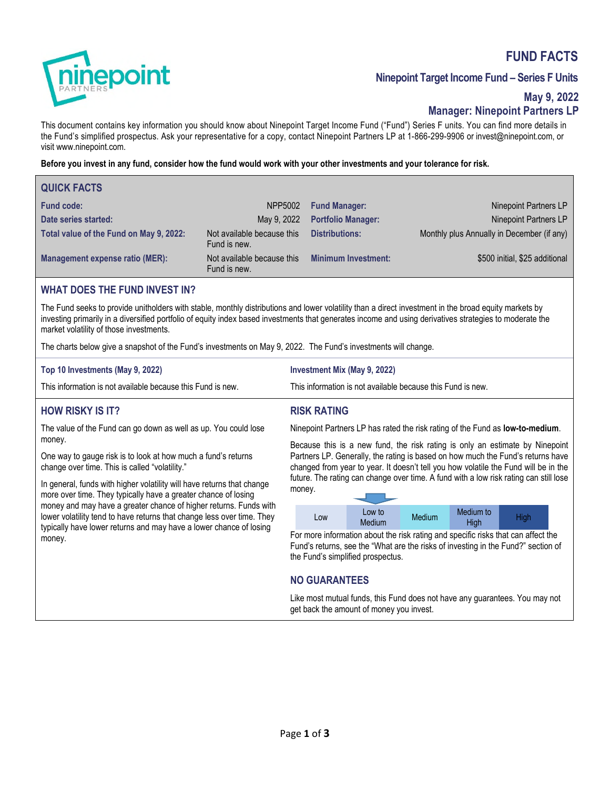# **FUND FACTS**



## **Ninepoint Target Income Fund – Series F Units**

### **May 9, 2022 Manager: Ninepoint Partners LP**

This document contains key information you should know about Ninepoint Target Income Fund ("Fund") Series F units. You can find more details in the Fund's simplified prospectus. Ask your representative for a copy, contact Ninepoint Partners LP at 1-866-299-9906 or invest@ninepoint.com, or visit www.ninepoint.com.

**Before you invest in any fund, consider how the fund would work with your other investments and your tolerance for risk.** 

| <b>QUICK FACTS</b>                      |                                            |                            |                                            |
|-----------------------------------------|--------------------------------------------|----------------------------|--------------------------------------------|
| <b>Fund code:</b>                       | NPP5002                                    | <b>Fund Manager:</b>       | Ninepoint Partners LP                      |
| Date series started:                    | May 9, 2022                                | <b>Portfolio Manager:</b>  | Ninepoint Partners LP                      |
| Total value of the Fund on May 9, 2022: | Not available because this<br>Fund is new. | <b>Distributions:</b>      | Monthly plus Annually in December (if any) |
| <b>Management expense ratio (MER):</b>  | Not available because this<br>Fund is new. | <b>Minimum Investment:</b> | \$500 initial, \$25 additional             |

### **WHAT DOES THE FUND INVEST IN?**

The Fund seeks to provide unitholders with stable, monthly distributions and lower volatility than a direct investment in the broad equity markets by investing primarily in a diversified portfolio of equity index based investments that generates income and using derivatives strategies to moderate the market volatility of those investments.

**RISK RATING** 

The charts below give a snapshot of the Fund's investments on May 9, 2022. The Fund's investments will change.

| Top 10 Investments (May 9, 2022)                            | <b>Investment Mix (May 9, 2022)</b>                         |
|-------------------------------------------------------------|-------------------------------------------------------------|
| This information is not available because this Fund is new. | This information is not available because this Fund is new. |

# **HOW RISKY IS IT?**

The value of the Fund can go down as well as up. You could lose money.

One way to gauge risk is to look at how much a fund's returns change over time. This is called "volatility."

In general, funds with higher volatility will have returns that change more over time. They typically have a greater chance of losing money and may have a greater chance of higher returns. Funds with lower volatility tend to have returns that change less over time. They typically have lower returns and may have a lower chance of losing money.

Ninepoint Partners LP has rated the risk rating of the Fund as **low-to-medium**.

Because this is a new fund, the risk rating is only an estimate by Ninepoint Partners LP. Generally, the rating is based on how much the Fund's returns have changed from year to year. It doesn't tell you how volatile the Fund will be in the future. The rating can change over time. A fund with a low risk rating can still lose money.

| Low | Low to<br><b>Medium</b> | <b>Medium</b> | Medium to<br>High | High |
|-----|-------------------------|---------------|-------------------|------|

For more information about the risk rating and specific risks that can affect the Fund's returns, see the "What are the risks of investing in the Fund?" section of the Fund's simplified prospectus.

### **NO GUARANTEES**

Like most mutual funds, this Fund does not have any guarantees. You may not get back the amount of money you invest.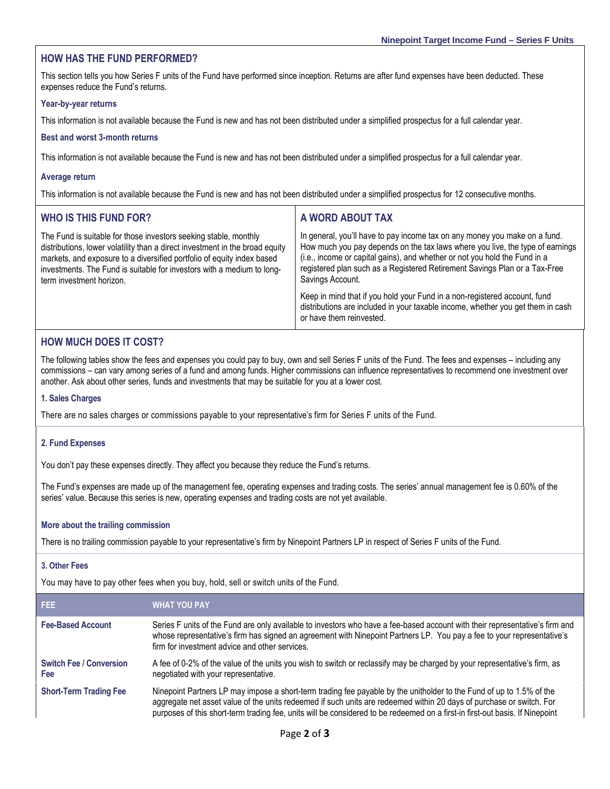### **HOW HAS THE FUND PERFORMED?**

This section tells you how Series F units of the Fund have performed since inception. Returns are after fund expenses have been deducted. These expenses reduce the Fund's returns.

#### **Year-by-year returns**

This information is not available because the Fund is new and has not been distributed under a simplified prospectus for a full calendar year.

#### **Best and worst 3-month returns**

This information is not available because the Fund is new and has not been distributed under a simplified prospectus for a full calendar year.

#### **Average return**

This information is not available because the Fund is new and has not been distributed under a simplified prospectus for 12 consecutive months.

| <b>WHO IS THIS FUND FOR?</b>                                                                                                                                                                                                                                                                                                     | A WORD ABOUT TAX                                                                                                                                                                                                                                                                                                                            |
|----------------------------------------------------------------------------------------------------------------------------------------------------------------------------------------------------------------------------------------------------------------------------------------------------------------------------------|---------------------------------------------------------------------------------------------------------------------------------------------------------------------------------------------------------------------------------------------------------------------------------------------------------------------------------------------|
| The Fund is suitable for those investors seeking stable, monthly<br>distributions, lower volatility than a direct investment in the broad equity<br>markets, and exposure to a diversified portfolio of equity index based<br>investments. The Fund is suitable for investors with a medium to long-<br>term investment horizon. | In general, you'll have to pay income tax on any money you make on a fund.<br>How much you pay depends on the tax laws where you live, the type of earnings<br>(i.e., income or capital gains), and whether or not you hold the Fund in a<br>registered plan such as a Registered Retirement Savings Plan or a Tax-Free<br>Savings Account. |
|                                                                                                                                                                                                                                                                                                                                  | Keep in mind that if you hold your Fund in a non-registered account, fund<br>distributions are included in your taxable income, whether you get them in cash<br>or have them reinvested.                                                                                                                                                    |

### **HOW MUCH DOES IT COST?**

The following tables show the fees and expenses you could pay to buy, own and sell Series F units of the Fund. The fees and expenses – including any commissions – can vary among series of a fund and among funds. Higher commissions can influence representatives to recommend one investment over another. Ask about other series, funds and investments that may be suitable for you at a lower cost.

#### **1. Sales Charges**

There are no sales charges or commissions payable to your representative's firm for Series F units of the Fund.

#### **2. Fund Expenses**

You don't pay these expenses directly. They affect you because they reduce the Fund's returns.

The Fund's expenses are made up of the management fee, operating expenses and trading costs. The series' annual management fee is 0.60% of the series' value. Because this series is new, operating expenses and trading costs are not yet available.

#### **More about the trailing commission**

There is no trailing commission payable to your representative's firm by Ninepoint Partners LP in respect of Series F units of the Fund.

#### **3. Other Fees**

You may have to pay other fees when you buy, hold, sell or switch units of the Fund.

| <b>FEE</b>                            | <b>WHAT YOU PAY</b>                                                                                                                                                                                                                                                                                                                                                          |
|---------------------------------------|------------------------------------------------------------------------------------------------------------------------------------------------------------------------------------------------------------------------------------------------------------------------------------------------------------------------------------------------------------------------------|
| <b>Fee-Based Account</b>              | Series F units of the Fund are only available to investors who have a fee-based account with their representative's firm and<br>whose representative's firm has signed an agreement with Ninepoint Partners LP. You pay a fee to your representative's<br>firm for investment advice and other services.                                                                     |
| <b>Switch Fee / Conversion</b><br>Fee | A fee of 0-2% of the value of the units you wish to switch or reclassify may be charged by your representative's firm, as<br>negotiated with your representative.                                                                                                                                                                                                            |
| <b>Short-Term Trading Fee</b>         | Ninepoint Partners LP may impose a short-term trading fee payable by the unitholder to the Fund of up to 1.5% of the<br>aggregate net asset value of the units redeemed if such units are redeemed within 20 days of purchase or switch. For<br>purposes of this short-term trading fee, units will be considered to be redeemed on a first-in first-out basis. If Ninepoint |